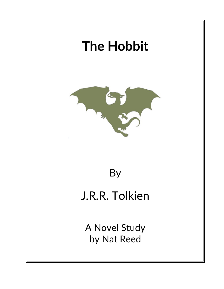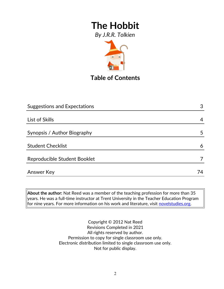*By J.R.R. Tolkien*



**Table of Contents**

| <b>Suggestions and Expectations</b> | 3  |
|-------------------------------------|----|
|                                     |    |
| List of Skills                      | 4  |
|                                     |    |
| Synopsis / Author Biography         | 5  |
|                                     |    |
| <b>Student Checklist</b>            | 6  |
| Reproducible Student Booklet        |    |
|                                     |    |
| Answer Key                          | 74 |

**About the author:** Nat Reed was a member of the teaching profession for more than 35 years. He was a full-time instructor at Trent University in the Teacher Education Program for nine years. For more information on his work and literature, visit [novelstudies.org.](http://www.novelstudies.org/)

> Copyright © 2012 Nat Reed Revisions Completed in 2021 All rights reserved by author. Permission to copy for single classroom use only. Electronic distribution limited to single classroom use only. Not for public display.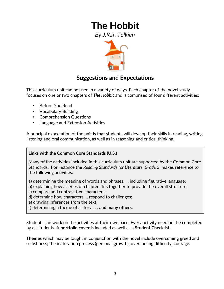*By J.R.R. Tolkien*



### **Suggestions and Expectations**

This curriculum unit can be used in a variety of ways. Each chapter of the novel study focuses on one or two chapters of *The Hobbit* and is comprised of four different activities:

- Before You Read
- Vocabulary Building
- Comprehension Questions
- Language and Extension Activities

A principal expectation of the unit is that students will develop their skills in reading, writing, listening and oral communication, as well as in reasoning and critical thinking.

#### **Links with the Common Core Standards (U.S.)**

Many of the activities included in this curriculum unit are supported by the Common Core Standards. For instance the *Reading Standards for Literature, Grade 5*, makes reference to the following activities:

a) determining the meaning of words and phrases. . . including figurative language;

- b) explaining how a series of chapters fits together to provide the overall structure;
- c) compare and contrast two characters;
- d) determine how characters … respond to challenges;
- e) drawing inferences from the text;
- f) determining a theme of a story . . . **and many others.**

Students can work on the activities at their own pace. Every activity need not be completed by all students. A **portfolio cover** is included as well as a **Student Checklist**.

**Themes** which may be taught in conjunction with the novel include overcoming greed and selfishness; the maturation process (personal growth), overcoming difficulty, courage.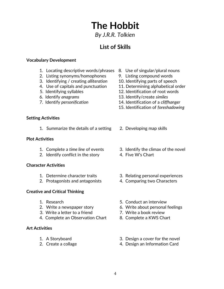*By J.R.R. Tolkien*

## **List of Skills**

#### **Vocabulary Development**

- 1. Locating descriptive words/phrases 8. Use of singular/plural nouns
- 2. Listing synonyms/homophones 9. Listing compound words
- 3. Identifying / creating *alliteration* 10. Identifying parts of speech
- 
- 
- 
- 
- 
- 
- 
- 4. Use of capitals and punctuation 11. Determining alphabetical order
- 5. Identifying syllables 12. Identification of root words
- 6. Identify *anagrams* 13. Identify/create *similes*
- 7. Identify *personification* 14. Identification of a *cliffhanger*
	- 15. Identification of *foreshadowing*

#### **Setting Activities**

1. Summarize the details of a setting 2. Developing map skills

#### **Plot Activities**

- 
- 2. Identify conflict in the story 4. Five W's Chart

#### **Character Activities**

- 
- 2. Protagonists and antagonists 4. Comparing two Characters

#### **Creative and Critical Thinking**

- 
- 
- 3. Write a letter to a friend 7. Write a book review
- 4. Complete an Observation Chart 8. Complete a KWS Chart

#### **Art Activities**

- 
- 
- 
- 1. Complete a *time line* of events 3. Identify the climax of the novel
	-
- 1. Determine character traits 3. Relating personal experiences
	-
- 1. Research 5. Conduct an interview
- 2. Write a newspaper story 6. Write about personal feelings
	-
	-
- 1. A Storyboard 3. Design a cover for the novel
- 2. Create a collage 2. Create a collage 4. Design an Information Card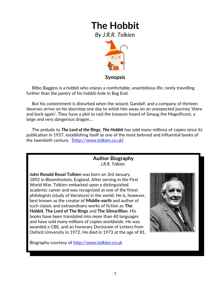*By J.R.R. Tolkien*



**Synopsis**

 Bilbo Baggins is a hobbit who enjoys a comfortable, unambitious life, rarely travelling further than the pantry of his hobbit-hole in Bag End.

 But his contentment is disturbed when the wizard, Gandalf, and a company of thirteen dwarves arrive on his doorstep one day to whisk him away on an unexpected journey 'there and back again'. They have a plot to raid the treasure hoard of Smaug the Magnificent, a large and very dangerous dragon…

 The prelude to *The Lord of the Rings*, *The Hobbit* has sold many millions of copies since its publication in 1937, establishing itself as one of the most beloved and influential books of the twentieth century. [\[http://www.tolkien.co.uk\]](http://www.tolkien.co.uk/)

#### **Author Biography** *J.R.R. Tolkien*

**John Ronald Reuel Tolkien** was born on 3rd January 1892 in Bloemfontein, England. After serving in the First World War, Tolkien embarked upon a distinguished academic career and was recognized as one of the finest philologists (study of literature) in the world. He is, however, best known as the creator of **Middle-earth** and author of such classic and extraordinary works of fiction as **[The](http://www.tolkien.co.uk/titles/49820/the-hobbit-illustrated-edition-j-r-r-tolkien-9780261103306)  [Hobbit](http://www.tolkien.co.uk/titles/49820/the-hobbit-illustrated-edition-j-r-r-tolkien-9780261103306)**, **The Lord of The Rings** and **[The Silmarillion](http://www.tolkien.co.uk/titles/39751/the-silmarillion-de-luxe-edition-j-r-r-tolkien-9780007264896)**. His books have been translated into more than 40 languages and have sold many millions of copies worldwide. He was awarded a CBE, and an honorary Doctorate of Letters from Oxford University in 1972. He died in 1973 at the age of 81.

Biography courtesy of [http://www.tolkien.co.uk](http://www.tolkien.co.uk/)

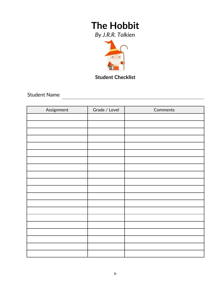*By J.R.R. Tolkien*



**Student Checklist**

<u> 1980 - Johann Barn, mars ar breithinn ar breithinn ar breithinn ar breithinn ar breithinn ar breithinn ar br</u>

Student Name

| Assignment | Grade / Level | Comments |
|------------|---------------|----------|
|            |               |          |
|            |               |          |
|            |               |          |
|            |               |          |
|            |               |          |
|            |               |          |
|            |               |          |
|            |               |          |
|            |               |          |
|            |               |          |
|            |               |          |
|            |               |          |
|            |               |          |
|            |               |          |
|            |               |          |
|            |               |          |
|            |               |          |
|            |               |          |
|            |               |          |
|            |               |          |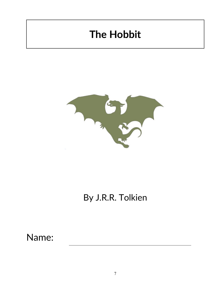

## By J.R.R. Tolkien

Name: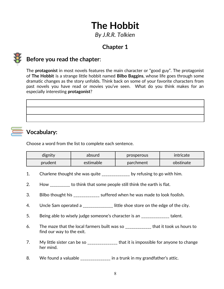*By J.R.R. Tolkien*

## **Chapter 1**



### **Before you read the chapter**:

The **protagonist** in most novels features the main character or "good guy". The protagonist of **The Hobbit** is a strange little hobbit named **Bilbo Baggins**, whose life goes through some dramatic changes as the story unfolds. Think back on some of your favorite characters from past novels you have read or movies you've seen. What do you think makes for an especially interesting **protagonist**?



## **Vocabulary:**

Choose a word from the list to complete each sentence.

| dignity | absurd    | prosperous | intricate |
|---------|-----------|------------|-----------|
| prudent | estimable | parchment  | obstinate |

- 1. Charlene thought she was quite \_\_\_\_\_\_\_\_\_\_\_\_\_ by refusing to go with him.
- 2. How \_\_\_\_\_\_\_\_\_\_ to think that some people still think the earth is flat.
- 3. Bilbo thought his suffered when he was made to look foolish.
- 4. Uncle Sam operated a **with the shoest** on the edge of the city.
- 5. Being able to wisely judge someone's character is an \_\_\_\_\_\_\_\_\_\_\_\_\_\_\_ talent.
- 6. The maze that the local farmers built was so \_\_\_\_\_\_\_\_\_\_\_\_\_ that it took us hours to find our way to the exit.
- 7. My little sister can be so \_\_\_\_\_\_\_\_\_\_\_\_\_\_\_ that it is impossible for anyone to change her mind.
- 8. We found a valuable \_\_\_\_\_\_\_\_\_\_\_\_\_\_ in a trunk in my grandfather's attic.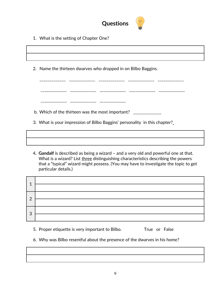

\_\_\_\_\_\_\_\_\_\_\_\_\_ \_\_\_\_\_\_\_\_\_\_\_\_\_ \_\_\_\_\_\_\_\_\_\_\_\_\_ \_\_\_\_\_\_\_\_\_\_\_\_\_ \_\_\_\_\_\_\_\_\_\_\_\_\_

1. What is the setting of Chapter One?

2. Name the thirteen dwarves who dropped in on Bilbo Baggins.

 \_\_\_\_\_\_\_\_\_\_\_\_\_ \_\_\_\_\_\_\_\_\_\_\_\_\_ \_\_\_\_\_\_\_\_\_\_\_\_\_ \_\_\_\_\_\_\_\_\_\_\_\_\_ \_\_\_\_\_\_\_\_\_\_\_\_\_ \_\_\_\_\_\_\_\_\_\_\_ \_\_\_\_\_\_\_\_\_\_\_\_\_ \_\_\_\_\_\_\_\_\_\_\_\_

- b. Which of the thirteen was the most important?  $\Box$
- 3. What is your impression of Bilbo Baggins' personality in this chapter?
- 4**. Gandalf** is described as being a wizard and a very old and powerful one at that. What is a wizard? List three distinguishing characteristics describing the powers that a "typical" wizard might possess. (You may have to investigate the topic to get particular details.)

| 1            |  |
|--------------|--|
| 2            |  |
|              |  |
| $\mathbf{3}$ |  |
|              |  |

- 5. Proper etiquette is very important to Bilbo. True or False
- 6. Why was Bilbo resentful about the presence of the dwarves in his home?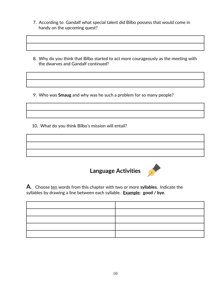- 7. According to Gandalf what special talent did Bilbo possess that would come in handy on the upcoming quest?
- 8. Why do you think that Bilbo started to act more courageously as the meeting with the dwarves and Gandalf continued?

9. Who was **Smaug** and why was he such a problem for so many people?

10. What do you think Bilbo's mission will entail?





**A***.* Choose ten words from this chapter with two or more **syllables**. Indicate the syllables by drawing a line between each syllable. **Example**: **good / bye**.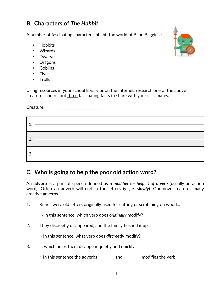### **B***.* **Characters of** *The Hobbit*

A number of fascinating characters inhabit the world of Bilbo Baggins :

- Hobbits
- Wizards
- Dwarves
- Dragons
- Goblins
- Elves
- Trolls

Using resources in your school library or on the Internet, research one of the above creatures and record three fascinating facts to share with your classmates.

Creature: \_\_\_\_\_\_\_\_\_\_\_\_\_\_\_\_\_\_\_\_\_\_\_\_\_\_\_\_

| ◢  |  |
|----|--|
| 2. |  |
| 3. |  |

### **C. Who is going to help the poor old action word?**

An **adverb** is a part of speech defined as *a modifier (or helper) of a verb* (usually an action word). Often an adverb will end in the letters *ly* (i.e. *slowly*). Our novel features many creative adverbs.

1. Runes were old letters originally used for cutting or scratching on wood...

 $\rightarrow$  In this sentence, which verb does *originally* modify?

2. They discreetly disappeared, and the family hushed it up...

→ In this sentence, what verb does *discreetly* modify? \_\_\_\_\_\_\_\_\_\_\_\_\_\_\_\_\_

3. … which helps them disappear quietly and quickly...

 $\rightarrow$  In this sentence the adverbs \_\_\_\_\_\_\_ and \_\_\_\_\_\_\_\_ modifies the verb \_\_\_\_\_\_\_\_\_

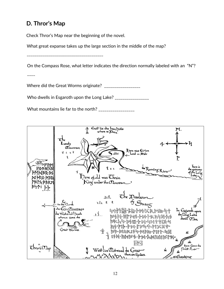## **D. Thror's Map**

Check Thror's Map near the beginning of the novel.

What great expanse takes up the large section in the middle of the map?

\_\_\_\_\_\_\_\_\_\_\_\_\_\_\_\_\_\_\_\_\_\_\_\_\_\_\_\_\_\_\_\_\_\_\_\_\_\_

On the Compass Rose, what letter indicates the direction normally labeled with an "N"?

 $\overline{\phantom{a}}$ 

Where did the Great Worms originate? \_\_\_\_\_\_\_\_\_\_\_\_\_\_\_\_\_\_

Who dwells in Esgaroth upon the Long Lake? \_\_\_\_\_\_\_\_\_\_\_\_\_\_\_\_\_

What mountains lie far to the north? \_\_\_\_\_\_\_\_\_\_\_\_\_\_\_\_